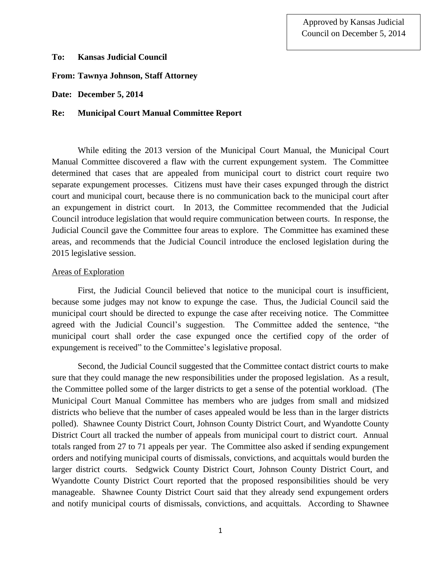## **To: Kansas Judicial Council**

# **From: Tawnya Johnson, Staff Attorney**

**Date: December 5, 2014**

## **Re: Municipal Court Manual Committee Report**

While editing the 2013 version of the Municipal Court Manual, the Municipal Court Manual Committee discovered a flaw with the current expungement system. The Committee determined that cases that are appealed from municipal court to district court require two separate expungement processes. Citizens must have their cases expunged through the district court and municipal court, because there is no communication back to the municipal court after an expungement in district court. In 2013, the Committee recommended that the Judicial Council introduce legislation that would require communication between courts. In response, the Judicial Council gave the Committee four areas to explore. The Committee has examined these areas, and recommends that the Judicial Council introduce the enclosed legislation during the 2015 legislative session.

## Areas of Exploration

First, the Judicial Council believed that notice to the municipal court is insufficient, because some judges may not know to expunge the case. Thus, the Judicial Council said the municipal court should be directed to expunge the case after receiving notice. The Committee agreed with the Judicial Council's suggestion. The Committee added the sentence, "the municipal court shall order the case expunged once the certified copy of the order of expungement is received" to the Committee's legislative proposal.

Second, the Judicial Council suggested that the Committee contact district courts to make sure that they could manage the new responsibilities under the proposed legislation. As a result, the Committee polled some of the larger districts to get a sense of the potential workload. (The Municipal Court Manual Committee has members who are judges from small and midsized districts who believe that the number of cases appealed would be less than in the larger districts polled). Shawnee County District Court, Johnson County District Court, and Wyandotte County District Court all tracked the number of appeals from municipal court to district court. Annual totals ranged from 27 to 71 appeals per year. The Committee also asked if sending expungement orders and notifying municipal courts of dismissals, convictions, and acquittals would burden the larger district courts. Sedgwick County District Court, Johnson County District Court, and Wyandotte County District Court reported that the proposed responsibilities should be very manageable. Shawnee County District Court said that they already send expungement orders and notify municipal courts of dismissals, convictions, and acquittals. According to Shawnee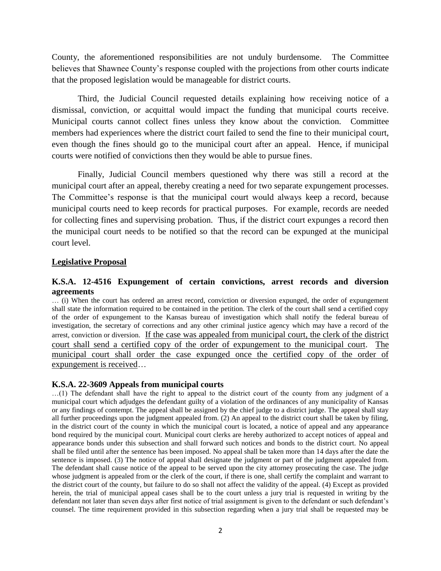County, the aforementioned responsibilities are not unduly burdensome. The Committee believes that Shawnee County's response coupled with the projections from other courts indicate that the proposed legislation would be manageable for district courts.

Third, the Judicial Council requested details explaining how receiving notice of a dismissal, conviction, or acquittal would impact the funding that municipal courts receive. Municipal courts cannot collect fines unless they know about the conviction. Committee members had experiences where the district court failed to send the fine to their municipal court, even though the fines should go to the municipal court after an appeal. Hence, if municipal courts were notified of convictions then they would be able to pursue fines.

Finally, Judicial Council members questioned why there was still a record at the municipal court after an appeal, thereby creating a need for two separate expungement processes. The Committee's response is that the municipal court would always keep a record, because municipal courts need to keep records for practical purposes. For example, records are needed for collecting fines and supervising probation. Thus, if the district court expunges a record then the municipal court needs to be notified so that the record can be expunged at the municipal court level.

## **Legislative Proposal**

#### **K.S.A. 12-4516 Expungement of certain convictions, arrest records and diversion agreements**

… (i) When the court has ordered an arrest record, conviction or diversion expunged, the order of expungement shall state the information required to be contained in the petition. The clerk of the court shall send a certified copy of the order of expungement to the Kansas bureau of investigation which shall notify the federal bureau of investigation, the secretary of corrections and any other criminal justice agency which may have a record of the arrest, conviction or diversion. If the case was appealed from municipal court, the clerk of the district court shall send a certified copy of the order of expungement to the municipal court. municipal court shall order the case expunged once the certified copy of the order of expungement is received…

#### **K.S.A. 22-3609 Appeals from municipal courts**

…(1) The defendant shall have the right to appeal to the district court of the county from any judgment of a municipal court which adjudges the defendant guilty of a violation of the ordinances of any municipality of Kansas or any findings of contempt. The appeal shall be assigned by the chief judge to a district judge. The appeal shall stay all further proceedings upon the judgment appealed from. (2) An appeal to the district court shall be taken by filing, in the district court of the county in which the municipal court is located, a notice of appeal and any appearance bond required by the municipal court. Municipal court clerks are hereby authorized to accept notices of appeal and appearance bonds under this subsection and shall forward such notices and bonds to the district court. No appeal shall be filed until after the sentence has been imposed. No appeal shall be taken more than 14 days after the date the sentence is imposed. (3) The notice of appeal shall designate the judgment or part of the judgment appealed from. The defendant shall cause notice of the appeal to be served upon the city attorney prosecuting the case. The judge whose judgment is appealed from or the clerk of the court, if there is one, shall certify the complaint and warrant to the district court of the county, but failure to do so shall not affect the validity of the appeal. (4) Except as provided herein, the trial of municipal appeal cases shall be to the court unless a jury trial is requested in writing by the defendant not later than seven days after first notice of trial assignment is given to the defendant or such defendant's counsel. The time requirement provided in this subsection regarding when a jury trial shall be requested may be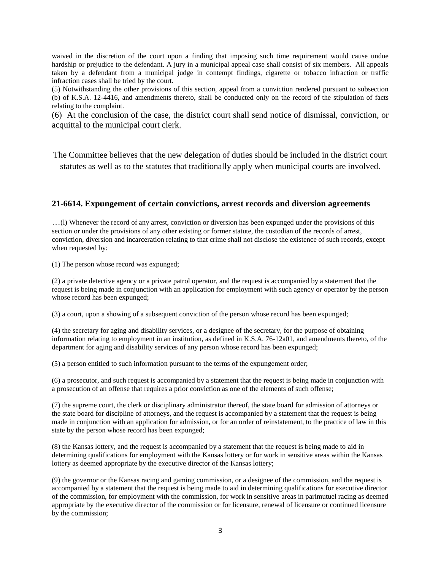waived in the discretion of the court upon a finding that imposing such time requirement would cause undue hardship or prejudice to the defendant. A jury in a municipal appeal case shall consist of six members. All appeals taken by a defendant from a municipal judge in contempt findings, cigarette or tobacco infraction or traffic infraction cases shall be tried by the court.

(5) Notwithstanding the other provisions of this section, appeal from a conviction rendered pursuant to subsection (b) of K.S.A. 12-4416, and amendments thereto, shall be conducted only on the record of the stipulation of facts relating to the complaint.

(6) At the conclusion of the case, the district court shall send notice of dismissal, conviction, or acquittal to the municipal court clerk.

The Committee believes that the new delegation of duties should be included in the district court statutes as well as to the statutes that traditionally apply when municipal courts are involved.

## **21-6614. Expungement of certain convictions, arrest records and diversion agreements**

…(l) Whenever the record of any arrest, conviction or diversion has been expunged under the provisions of this section or under the provisions of any other existing or former statute, the custodian of the records of arrest, conviction, diversion and incarceration relating to that crime shall not disclose the existence of such records, except when requested by:

(1) The person whose record was expunged;

(2) a private detective agency or a private patrol operator, and the request is accompanied by a statement that the request is being made in conjunction with an application for employment with such agency or operator by the person whose record has been expunged;

(3) a court, upon a showing of a subsequent conviction of the person whose record has been expunged;

(4) the secretary for aging and disability services, or a designee of the secretary, for the purpose of obtaining information relating to employment in an institution, as defined in [K.S.A. 76-12a01,](http://web2.westlaw.com/find/default.wl?mt=Kansas&db=1001553&rs=WLW14.04&docname=KSSTS76-12A01&rp=%2ffind%2fdefault.wl&findtype=L&ordoc=995418554&tc=-1&vr=2.0&fn=_top&sv=Split&tf=-1&pbc=A4C64756&utid=1) and amendments thereto, of the department for aging and disability services of any person whose record has been expunged;

(5) a person entitled to such information pursuant to the terms of the expungement order;

(6) a prosecutor, and such request is accompanied by a statement that the request is being made in conjunction with a prosecution of an offense that requires a prior conviction as one of the elements of such offense;

(7) the supreme court, the clerk or disciplinary administrator thereof, the state board for admission of attorneys or the state board for discipline of attorneys, and the request is accompanied by a statement that the request is being made in conjunction with an application for admission, or for an order of reinstatement, to the practice of law in this state by the person whose record has been expunged;

(8) the Kansas lottery, and the request is accompanied by a statement that the request is being made to aid in determining qualifications for employment with the Kansas lottery or for work in sensitive areas within the Kansas lottery as deemed appropriate by the executive director of the Kansas lottery;

(9) the governor or the Kansas racing and gaming commission, or a designee of the commission, and the request is accompanied by a statement that the request is being made to aid in determining qualifications for executive director of the commission, for employment with the commission, for work in sensitive areas in parimutuel racing as deemed appropriate by the executive director of the commission or for licensure, renewal of licensure or continued licensure by the commission;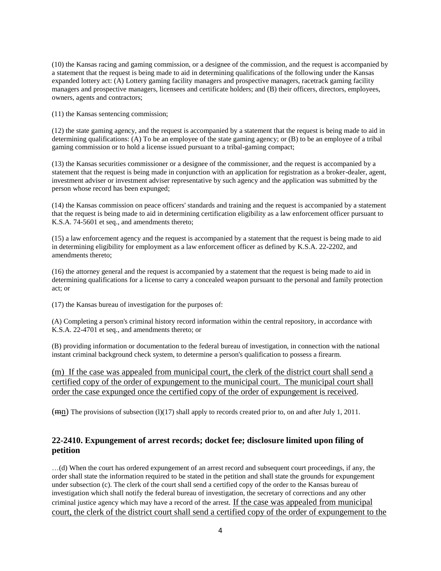(10) the Kansas racing and gaming commission, or a designee of the commission, and the request is accompanied by a statement that the request is being made to aid in determining qualifications of the following under the Kansas expanded lottery act: (A) Lottery gaming facility managers and prospective managers, racetrack gaming facility managers and prospective managers, licensees and certificate holders; and (B) their officers, directors, employees, owners, agents and contractors;

(11) the Kansas sentencing commission;

(12) the state gaming agency, and the request is accompanied by a statement that the request is being made to aid in determining qualifications: (A) To be an employee of the state gaming agency; or (B) to be an employee of a tribal gaming commission or to hold a license issued pursuant to a tribal-gaming compact;

(13) the Kansas securities commissioner or a designee of the commissioner, and the request is accompanied by a statement that the request is being made in conjunction with an application for registration as a broker-dealer, agent, investment adviser or investment adviser representative by such agency and the application was submitted by the person whose record has been expunged;

(14) the Kansas commission on peace officers' standards and training and the request is accompanied by a statement that the request is being made to aid in determining certification eligibility as a law enforcement officer pursuant to [K.S.A. 74-5601 et seq.,](http://web2.westlaw.com/find/default.wl?mt=Kansas&db=1001553&rs=WLW14.04&docname=KSSTS74-5601&rp=%2ffind%2fdefault.wl&findtype=L&ordoc=995418554&tc=-1&vr=2.0&fn=_top&sv=Split&tf=-1&pbc=A4C64756&utid=1) and amendments thereto;

(15) a law enforcement agency and the request is accompanied by a statement that the request is being made to aid in determining eligibility for employment as a law enforcement officer as defined by [K.S.A. 22-2202,](http://web2.westlaw.com/find/default.wl?mt=Kansas&db=1001553&rs=WLW14.04&docname=KSSTS22-2202&rp=%2ffind%2fdefault.wl&findtype=L&ordoc=995418554&tc=-1&vr=2.0&fn=_top&sv=Split&tf=-1&pbc=A4C64756&utid=1) and amendments thereto;

(16) the attorney general and the request is accompanied by a statement that the request is being made to aid in determining qualifications for a license to carry a concealed weapon pursuant to the personal and family protection act; or

(17) the Kansas bureau of investigation for the purposes of:

(A) Completing a person's criminal history record information within the central repository, in accordance with [K.S.A. 22-4701 et seq.,](http://web2.westlaw.com/find/default.wl?mt=Kansas&db=1001553&rs=WLW14.04&docname=KSSTS22-4701&rp=%2ffind%2fdefault.wl&findtype=L&ordoc=995418554&tc=-1&vr=2.0&fn=_top&sv=Split&tf=-1&pbc=A4C64756&utid=1) and amendments thereto; or

(B) providing information or documentation to the federal bureau of investigation, in connection with the national instant criminal background check system, to determine a person's qualification to possess a firearm.

(m) If the case was appealed from municipal court, the clerk of the district court shall send a certified copy of the order of expungement to the municipal court. The municipal court shall order the case expunged once the certified copy of the order of expungement is received.

 $(\frac{mn}{mn})$  The provisions of subsection (1)(17) shall apply to records created prior to, on and after July 1, 2011.

# **22-2410. Expungement of arrest records; docket fee; disclosure limited upon filing of petition**

…(d) When the court has ordered expungement of an arrest record and subsequent court proceedings, if any, the order shall state the information required to be stated in the petition and shall state the grounds for expungement under subsection (c). The clerk of the court shall send a certified copy of the order to the Kansas bureau of investigation which shall notify the federal bureau of investigation, the secretary of corrections and any other criminal justice agency which may have a record of the arrest. If the case was appealed from municipal court, the clerk of the district court shall send a certified copy of the order of expungement to the